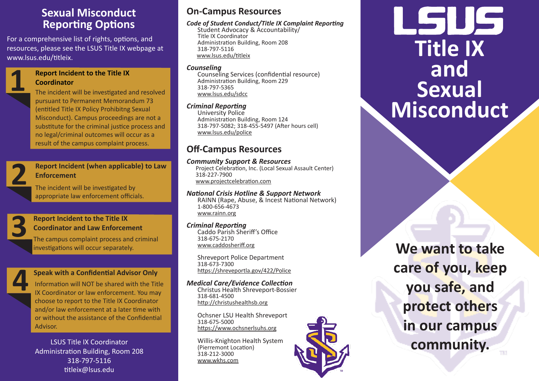# **Sexual Misconduct Reporting Options**

For a comprehensive list of rights, options, and resources, please see the LSUS Title IX webpage at www.lsus.edu/titleix.

# **1 Report Incident to the Title IX Coordinator**

The incident will be investigated and resolved pursuant to Permanent Memorandum 73 (entitled Title IX Policy Prohibitng Sexual Misconduct). Campus proceedings are not a substitute for the criminal justice process and no legal/criminal outcomes will occur as a result of the campus complaint process.

**2**

# **Report Incident (when applicable) to Law Enforcement**

The incident will be investigated by appropriate law enforcement officials.

**3 Report Incident to the Title IX Coordinator and Law Enforcem**<br>The campus complaint process and **Coordinator and Law Enforcement**

The campus complaint process and criminal investigations will occur separately.



# **Speak with a Confidential Advisor Only**

Information will NOT be shared with the Title IX Coordinator or law enforcement. You may choose to report to the Title IX Coordinator and/or law enforcement at a later time with or without the assistance of the Confidential Advisor.

LSUS Title IX Coordinator Administration Building, Room 208 318-797-5116 titleix@lsus.edu

# **On-Campus Resources**

### *Code of Student Conduct/Title IX Complaint Reporting*

Student Advocacy & Accountability/ Title IX Coordinator Administration Building, Room 208 www.lsus.edu/titleix

### *Counseling*

Counseling Services (confidential resource) Administration Building, Room 229 318-797-5365 www.lsus.edu/sdcc

# *Criminal Reporting*

University Police Administration Building, Room 124 318-797-5082; 318-455-5497 (After hours cell) www.lsus.edu/police

# **Off-Campus Resources**

### *Community Support & Resources*

Project Celebration, Inc. (Local Sexual Assault Center) 318-227-7900 www.projectcelebration.com

# *National Crisis Hotline & Support Network*

RAINN (Rape, Abuse, & Incest National Network) 1-800-656-4673 www.rainn.org

# *Criminal Reporting*

Caddo Parish Sheriff's Office 318-675-2170 www.caddosheriff.org

Shreveport Police Department 318-673-7300 https://shreveportla.gov/422/Police

*Medical Care/Evidence Collection* Christus Health Shreveport-Bossier 318-681-4500 http://christushealthsb.org

Ochsner LSU Health Shreveport 318-675-5000 https://www.ochsnerlsuhs.org

Willis-Knighton Health System (Pierremont Location) 318-212-3000 www.wkhs.com



# کر تا رکھا ا **Title IX and Sexual Misconduct**

**We want to take care of you, keep you safe, and protect others in our campus community.**